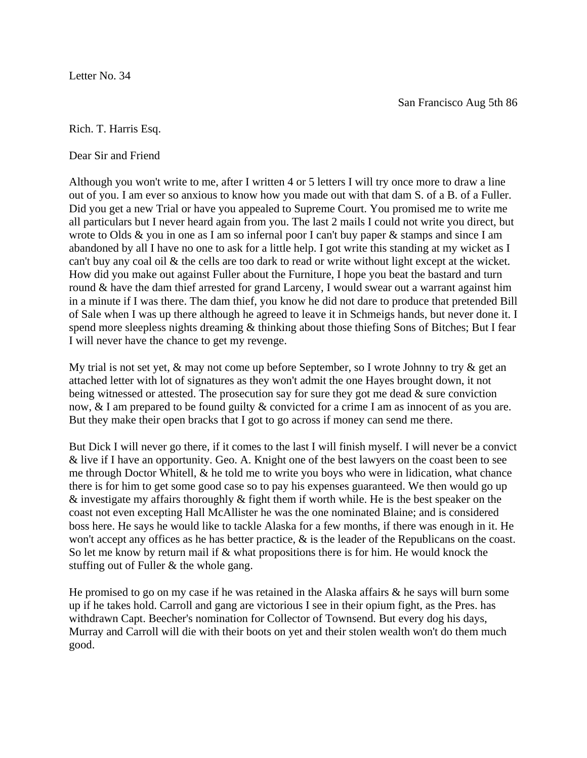Letter No. 34

Rich. T. Harris Esq.

Dear Sir and Friend

Although you won't write to me, after I written 4 or 5 letters I will try once more to draw a line out of you. I am ever so anxious to know how you made out with that dam S. of a B. of a Fuller. Did you get a new Trial or have you appealed to Supreme Court. You promised me to write me all particulars but I never heard again from you. The last 2 mails I could not write you direct, but wrote to Olds & you in one as I am so infernal poor I can't buy paper & stamps and since I am abandoned by all I have no one to ask for a little help. I got write this standing at my wicket as I can't buy any coal oil & the cells are too dark to read or write without light except at the wicket. How did you make out against Fuller about the Furniture, I hope you beat the bastard and turn round & have the dam thief arrested for grand Larceny, I would swear out a warrant against him in a minute if I was there. The dam thief, you know he did not dare to produce that pretended Bill of Sale when I was up there although he agreed to leave it in Schmeigs hands, but never done it. I spend more sleepless nights dreaming & thinking about those thiefing Sons of Bitches; But I fear I will never have the chance to get my revenge.

My trial is not set yet,  $\&$  may not come up before September, so I wrote Johnny to try  $\&$  get an attached letter with lot of signatures as they won't admit the one Hayes brought down, it not being witnessed or attested. The prosecution say for sure they got me dead  $\&$  sure conviction now, & I am prepared to be found guilty & convicted for a crime I am as innocent of as you are. But they make their open bracks that I got to go across if money can send me there.

But Dick I will never go there, if it comes to the last I will finish myself. I will never be a convict & live if I have an opportunity. Geo. A. Knight one of the best lawyers on the coast been to see me through Doctor Whitell, & he told me to write you boys who were in lidication, what chance there is for him to get some good case so to pay his expenses guaranteed. We then would go up  $\&$  investigate my affairs thoroughly  $\&$  fight them if worth while. He is the best speaker on the coast not even excepting Hall McAllister he was the one nominated Blaine; and is considered boss here. He says he would like to tackle Alaska for a few months, if there was enough in it. He won't accept any offices as he has better practice,  $\&$  is the leader of the Republicans on the coast. So let me know by return mail if & what propositions there is for him. He would knock the stuffing out of Fuller & the whole gang.

He promised to go on my case if he was retained in the Alaska affairs & he says will burn some up if he takes hold. Carroll and gang are victorious I see in their opium fight, as the Pres. has withdrawn Capt. Beecher's nomination for Collector of Townsend. But every dog his days, Murray and Carroll will die with their boots on yet and their stolen wealth won't do them much good.